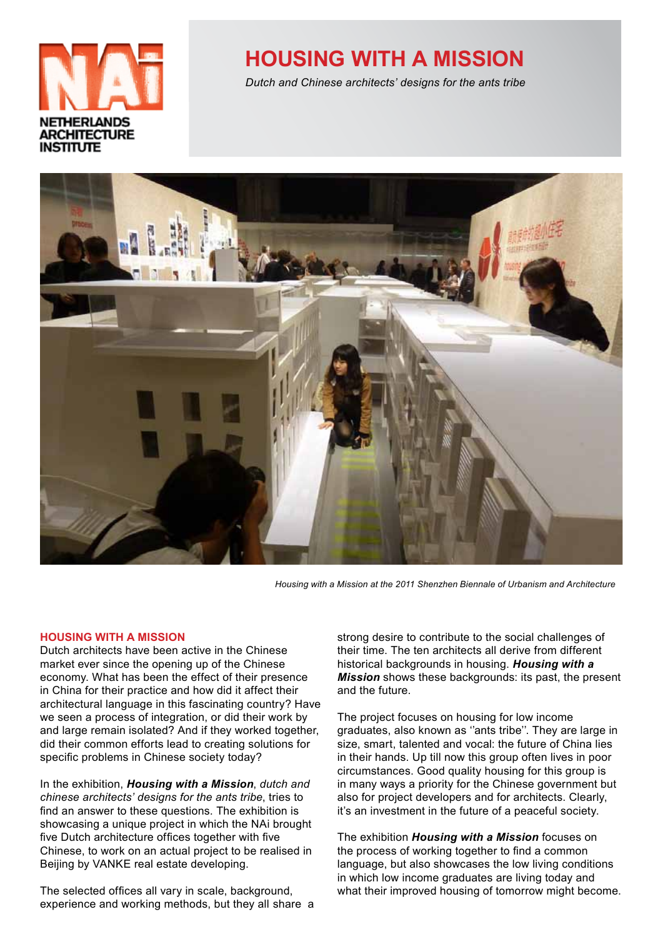

# **HOUSING WITH A MISSION**

Dutch and Chinese architects' designs for the ants tribe



*&Housing&with&a&Mission&at&the&2011&Shenzhen&Biennale&of&Urbanism&and&Architecture*

#### **HOUSING WITH A MISSION**

Dutch architects have been active in the Chinese market ever since the opening up of the Chinese economy. What has been the effect of their presence in China for their practice and how did it affect their architectural language in this fascinating country? Have we seen a process of integration, or did their work by and large remain isolated? And if they worked together, did their common efforts lead to creating solutions for specific problems in Chinese society today?

In the exhibition, **Housing with a Mission**, dutch and *chinese architects' designs for the ants tribe, tries to* find an answer to these questions. The exhibition is showcasing a unique project in which the NAi brought five Dutch architecture offices together with five Chinese, to work on an actual project to be realised in Beijing by VANKE real estate developing.

The selected offices all vary in scale, background, experience and working methods, but they all share a strong desire to contribute to the social challenges of their time. The ten architects all derive from different historical backgrounds in housing. Housing with a **Mission** shows these backgrounds: its past, the present and the future.

The project focuses on housing for low income graduates, also known as "ants tribe". They are large in size, smart, talented and vocal: the future of China lies in their hands. Up till now this group often lives in poor circumstances. Good quality housing for this group is in many ways a priority for the Chinese government but also for project developers and for architects. Clearly, it's an investment in the future of a peaceful society.

The exhibition **Housing with a Mission** focuses on the process of working together to find a common language, but also showcases the low living conditions in which low income graduates are living today and what their improved housing of tomorrow might become.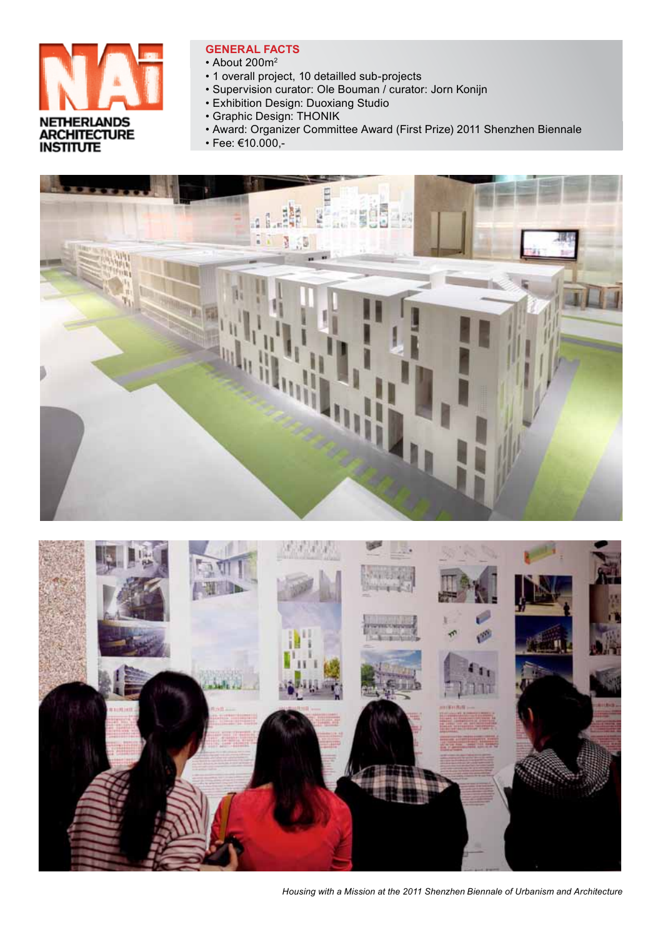

# **GENERAL FACTS**

- About 200m<sup>2</sup>
- 1 overall project, 10 detailled sub-projects
- · Supervision curator: Ole Bouman / curator: Jorn Konijn
- · Exhibition Design: Duoxiang Studio
- Graphic Design: THONIK
- · Award: Organizer Committee Award (First Prize) 2011 Shenzhen Biennale
- Fee:  $€10.000,-$





Housing with a Mission at the 2011 Shenzhen Biennale of Urbanism and Architecture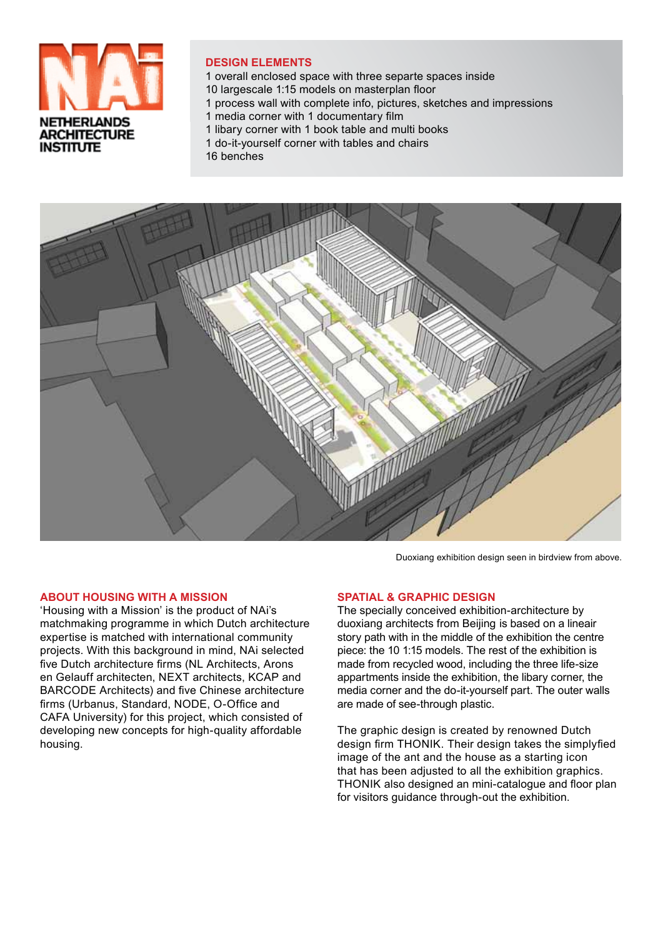

## **DESIGN ELEMENTS**

- 1 overall enclosed space with three separte spaces inside
- 10 largescale 1:15 models on masterplan floor
- 1 process wall with complete info, pictures, sketches and impressions
- 1 media corner with 1 documentary film
- 1 libary corner with 1 book table and multi books
- 1 do-it-yourself corner with tables and chairs
- 16 benches



Duoxiang exhibition design seen in birdview from above.

#### **ABOUT HOUSING WITH A MISSION**

'Housing with a Mission' is the product of NAi's matchmaking programme in which Dutch architecture expertise is matched with international community projects. With this background in mind, NAi selected five Dutch architecture firms (NL Architects, Arons en Gelauff architecten. NEXT architects. KCAP and BARCODE Architects) and five Chinese architecture firms (Urbanus, Standard, NODE, O-Office and CAFA University) for this project, which consisted of developing new concepts for high-quality affordable housing.

#### **SPATIAL & GRAPHIC DESIGN**

The specially conceived exhibition-architecture by duoxiang architects from Beijing is based on a lineair story path with in the middle of the exhibition the centre piece: the 10 1:15 models. The rest of the exhibition is made from recycled wood, including the three life-size appartments inside the exhibition, the libary corner, the media corner and the do-it-vourself part. The outer walls are made of see-through plastic.

The graphic design is created by renowned Dutch design firm THONIK. Their design takes the simplyfied image of the ant and the house as a starting icon that has been adjusted to all the exhibition graphics. THONIK also designed an mini-catalogue and floor plan for visitors guidance through-out the exhibition.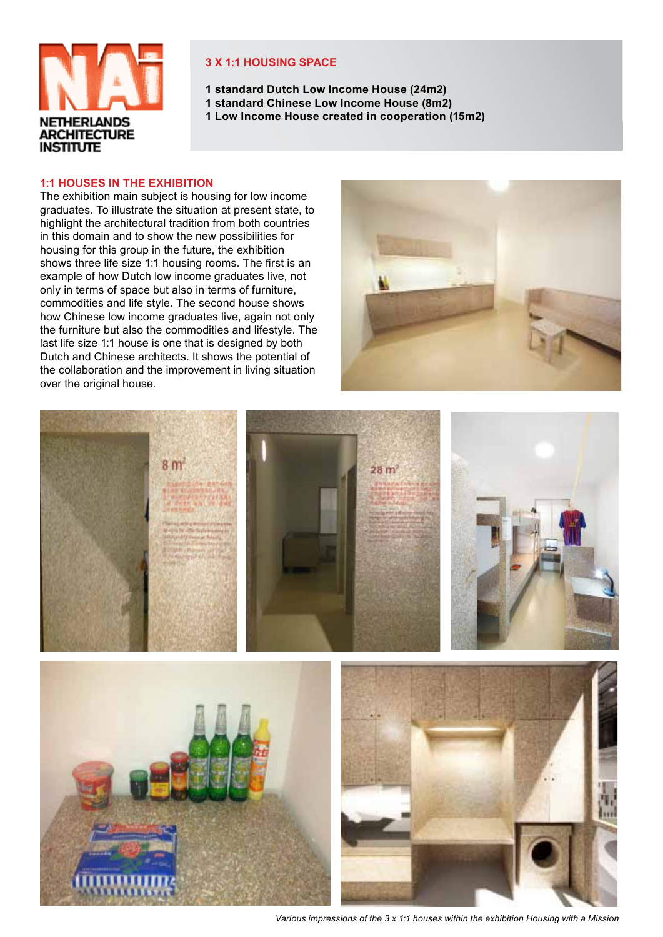

## **3 X 1:1 HOUSING SPACE**

**1 standard Dutch Low Income House (24m2)** 

- **1 standard Chinese Low Income House (8m2)**
- **1 Low Income House created in cooperation (15m2)**

#### **1:1 HOUSES IN THE EXHIBITION**

The exhibition main subject is housing for low income graduates. To illustrate the situation at present state, to highlight the architectural tradition from both countries in this domain and to show the new possibilities for housing for this group in the future, the exhibition shows three life size 1:1 housing rooms. The first is an example of how Dutch low income graduates live, not only in terms of space but also in terms of furniture, commodities and life style. The second house shows how Chinese low income graduates live, again not only the furniture but also the commodities and lifestyle. The last life size 1:1 house is one that is designed by both Dutch and Chinese architects. It shows the potential of the collaboration and the improvement in living situation over the original house.



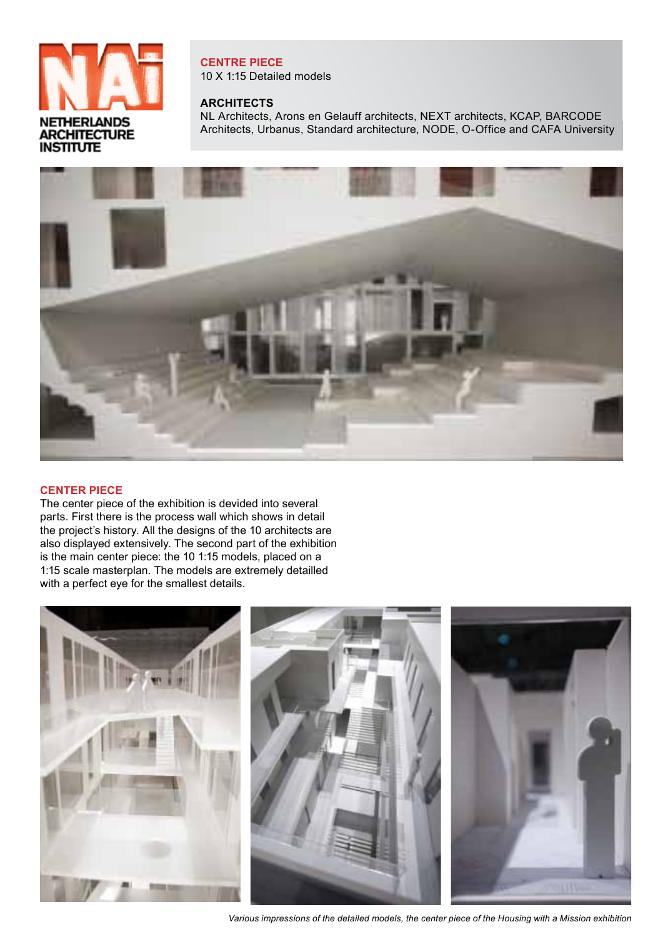

**CENTRE PIECE** 10 X 1:15 Detailed models

## **ARCHITECTS**

NL Architects, Arons en Gelauff architects, NEXT architects, KCAP, BARCODE Architects, Urbanus, Standard architecture, NODE, O-Office and CAFA University



### **CENTER PIECE**

The center piece of the exhibition is devided into several parts. First there is the process wall which shows in detail the project's history. All the designs of the 10 architects are also displayed extensively. The second part of the exhibition is the main center piece: the 10 1:15 models, placed on a 1:15 scale masterplan. The models are extremely detailled with a perfect eye for the smallest details.



Various impressions of the detailed models, the center piece of the Housing with a Mission exhibition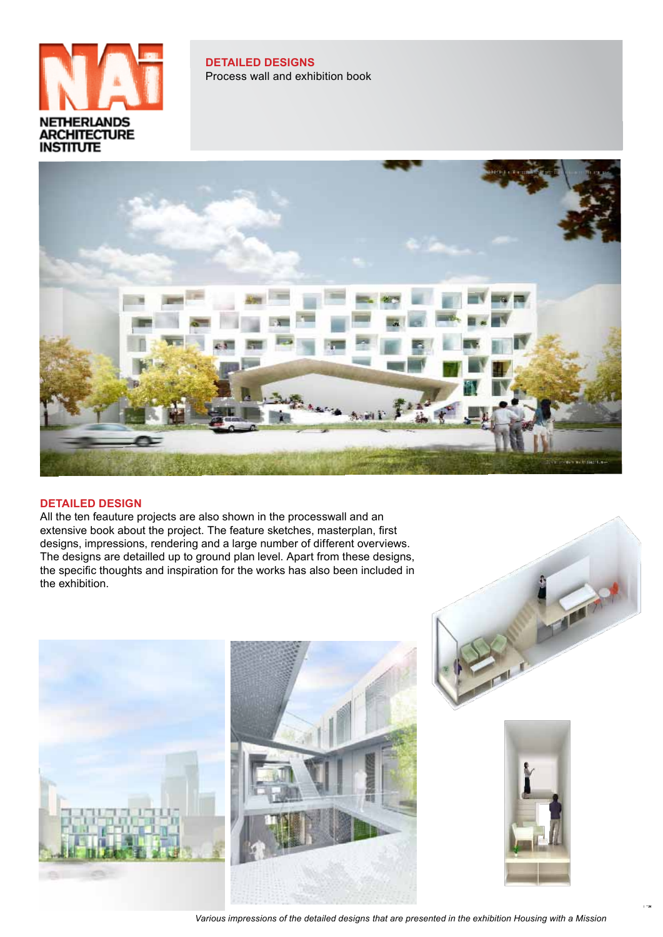

**DETAILED DESIGNS** Process wall and exhibition book



#### **DETAILED DESIGN**

All the ten feauture projects are also shown in the processwall and an extensive book about the project. The feature sketches, masterplan, first designs, impressions, rendering and a large number of different overviews. The designs are detailled up to ground plan level. Apart from these designs, the specific thoughts and inspiration for the works has also been included in the exhibition.